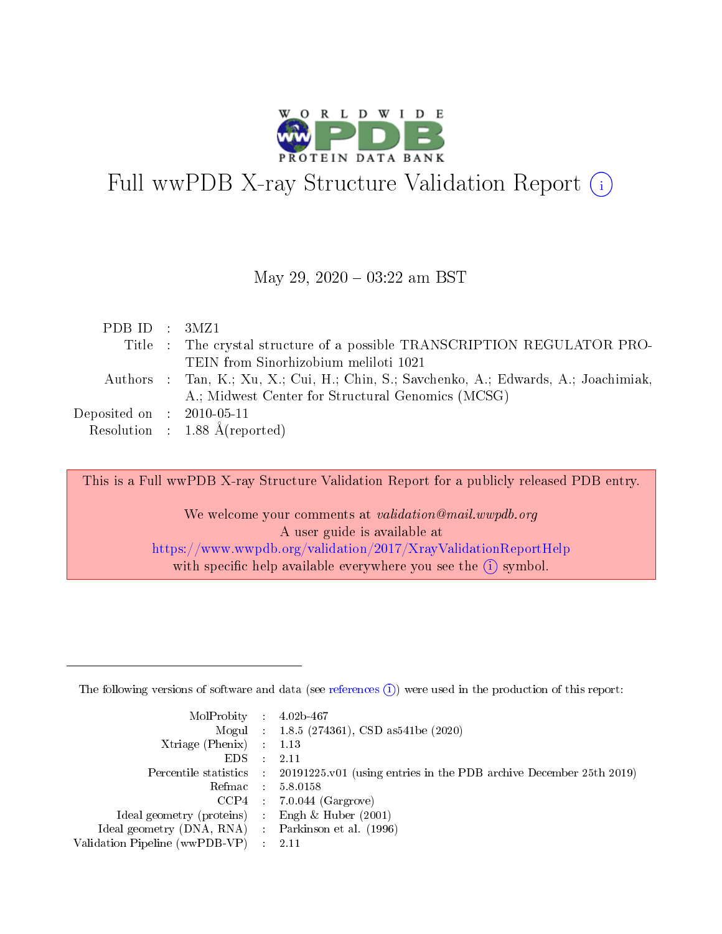

# Full wwPDB X-ray Structure Validation Report  $(i)$

#### May 29, 2020 - 03:22 am BST

| Title : The crystal structure of a possible TRANSCRIPTION REGULATOR PRO-<br>TEIN from Sinorhizobium meliloti 1021<br>Authors : Tan, K.; Xu, X.; Cui, H.; Chin, S.; Savchenko, A.; Edwards, A.; Joachimiak,<br>A.; Midwest Center for Structural Genomics (MCSG) |  |
|-----------------------------------------------------------------------------------------------------------------------------------------------------------------------------------------------------------------------------------------------------------------|--|
|                                                                                                                                                                                                                                                                 |  |
|                                                                                                                                                                                                                                                                 |  |
|                                                                                                                                                                                                                                                                 |  |
|                                                                                                                                                                                                                                                                 |  |
| Deposited on $\therefore$ 2010-05-11                                                                                                                                                                                                                            |  |
| Resolution : $1.88 \text{ Å}$ (reported)                                                                                                                                                                                                                        |  |

This is a Full wwPDB X-ray Structure Validation Report for a publicly released PDB entry.

We welcome your comments at validation@mail.wwpdb.org A user guide is available at <https://www.wwpdb.org/validation/2017/XrayValidationReportHelp> with specific help available everywhere you see the  $(i)$  symbol.

The following versions of software and data (see [references](https://www.wwpdb.org/validation/2017/XrayValidationReportHelp#references)  $(1)$ ) were used in the production of this report:

| MolProbity : $4.02b-467$                            |                                                                                            |
|-----------------------------------------------------|--------------------------------------------------------------------------------------------|
|                                                     | Mogul : $1.8.5$ (274361), CSD as 541be (2020)                                              |
| $Xtriangle (Phenix)$ : 1.13                         |                                                                                            |
| $EDS$ :                                             | -2.11                                                                                      |
|                                                     | Percentile statistics : 20191225.v01 (using entries in the PDB archive December 25th 2019) |
| Refmac : 5.8.0158                                   |                                                                                            |
|                                                     | $CCP4$ 7.0.044 (Gargrove)                                                                  |
| Ideal geometry (proteins) : Engh $\&$ Huber (2001)  |                                                                                            |
| Ideal geometry (DNA, RNA) : Parkinson et al. (1996) |                                                                                            |
| Validation Pipeline (wwPDB-VP) : 2.11               |                                                                                            |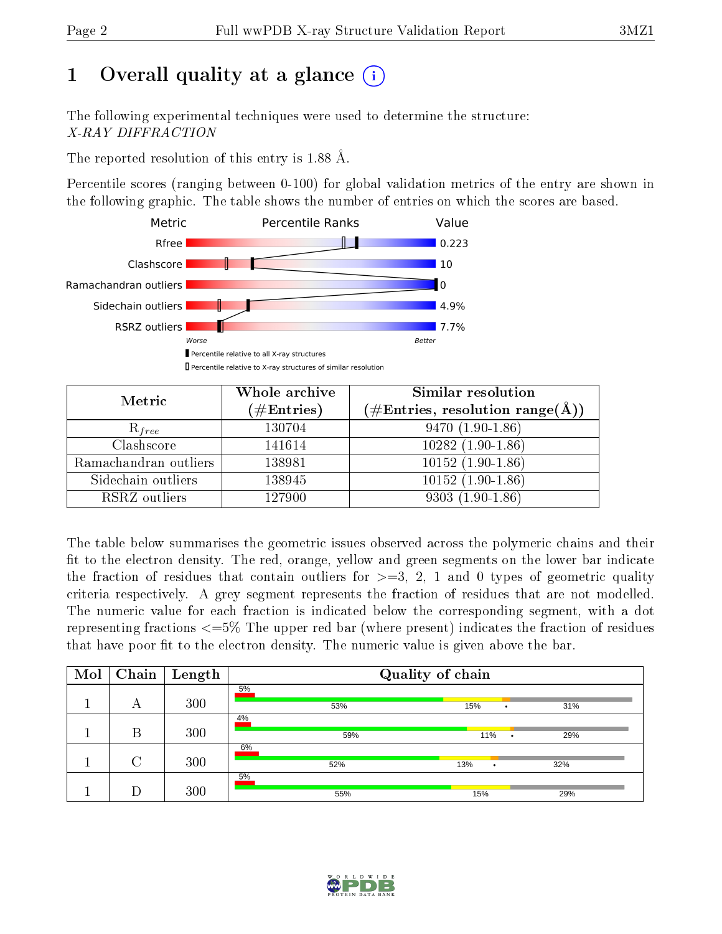# 1 [O](https://www.wwpdb.org/validation/2017/XrayValidationReportHelp#overall_quality)verall quality at a glance  $(i)$

The following experimental techniques were used to determine the structure: X-RAY DIFFRACTION

The reported resolution of this entry is 1.88 Å.

Percentile scores (ranging between 0-100) for global validation metrics of the entry are shown in the following graphic. The table shows the number of entries on which the scores are based.



| Metric                | Whole archive<br>$(\#\mathrm{Entries})$ | Similar resolution<br>$(\#\text{Entries},\, \text{resolution}\; \text{range}(\textup{\AA}))$ |
|-----------------------|-----------------------------------------|----------------------------------------------------------------------------------------------|
| $R_{free}$            | 130704                                  | $9470(1.90-1.86)$                                                                            |
| Clashscore            | 141614                                  | $10282(1.90-1.86)$                                                                           |
| Ramachandran outliers | 138981                                  | $10152(1.90-1.86)$                                                                           |
| Sidechain outliers    | 138945                                  | $10152(1.90-1.86)$                                                                           |
| RSRZ outliers         | 127900                                  | $9303(1.90-1.86)$                                                                            |

The table below summarises the geometric issues observed across the polymeric chains and their fit to the electron density. The red, orange, yellow and green segments on the lower bar indicate the fraction of residues that contain outliers for  $>=3, 2, 1$  and 0 types of geometric quality criteria respectively. A grey segment represents the fraction of residues that are not modelled. The numeric value for each fraction is indicated below the corresponding segment, with a dot representing fractions <=5% The upper red bar (where present) indicates the fraction of residues that have poor fit to the electron density. The numeric value is given above the bar.

| Mol |        | $\boxed{\text{Chain}}$   Length | Quality of chain |     |            |  |  |  |  |  |  |  |
|-----|--------|---------------------------------|------------------|-----|------------|--|--|--|--|--|--|--|
|     | А      | 300                             | 5%<br>53%        | 15% | 31%        |  |  |  |  |  |  |  |
|     | В      | 300                             | 4%<br>59%        |     | 11%<br>29% |  |  |  |  |  |  |  |
|     | $\cap$ | 300                             | 6%<br>52%        | 13% | 32%<br>٠   |  |  |  |  |  |  |  |
|     |        | 300                             | 5%<br>55%        | 15% | 29%        |  |  |  |  |  |  |  |

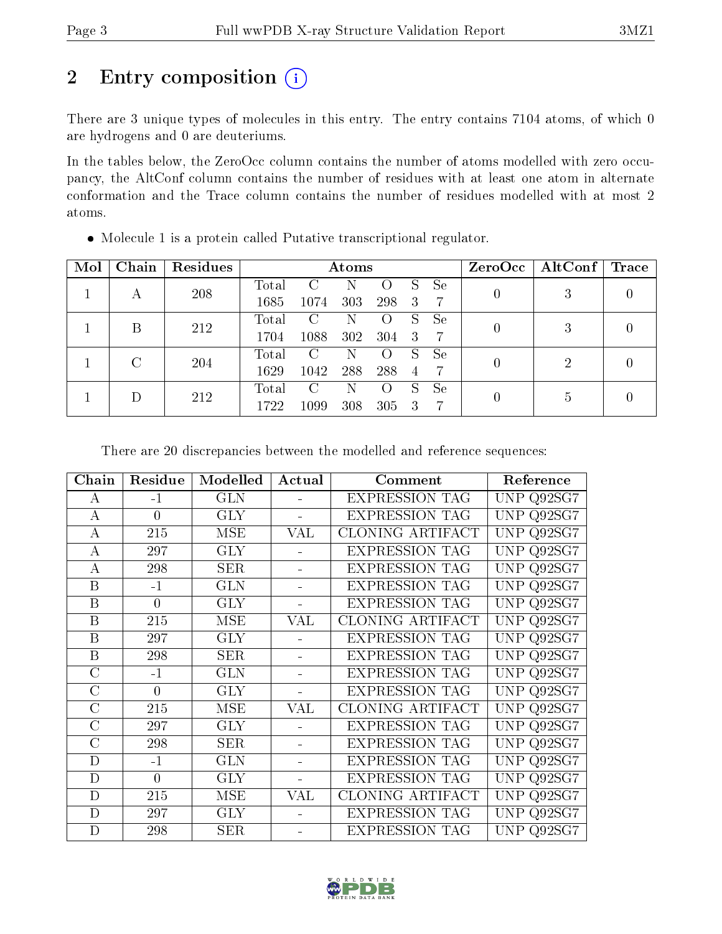# 2 Entry composition (i)

There are 3 unique types of molecules in this entry. The entry contains 7104 atoms, of which 0 are hydrogens and 0 are deuteriums.

In the tables below, the ZeroOcc column contains the number of atoms modelled with zero occupancy, the AltConf column contains the number of residues with at least one atom in alternate conformation and the Trace column contains the number of residues modelled with at most 2 atoms.

| Mol | Chain | Residues |                | $\rm{Atoms}$  |     |                  |                |    | ZeroOcc | $\mid$ AltConf $\mid$ | $\operatorname{Trace}$ |  |
|-----|-------|----------|----------------|---------------|-----|------------------|----------------|----|---------|-----------------------|------------------------|--|
|     |       | 208      | Total          | C             | Ν   | $\left( \right)$ | S              | Se |         |                       |                        |  |
|     | А     |          | 1685           | 1074          | 303 | 298              | 3              | 7  |         | J)                    |                        |  |
|     | В     | 212      | $\text{Total}$ | C             | Ν   | $\left( \right)$ | S              | Se |         | 3                     |                        |  |
|     |       |          | 1704           | 1088          | 302 | 304              | 3              |    |         |                       |                        |  |
|     |       | 204      | Total          | $\mathcal{C}$ | N   | $\left( \right)$ | S              | Se |         | 2                     |                        |  |
|     | С     |          | 1629           | 1042          | 288 | 288              | $\overline{4}$ |    |         |                       |                        |  |
|     |       | 212      | Total          | $\mathcal{C}$ | N   | $\left( \right)$ | S              | Se |         | 5                     |                        |  |
|     |       |          | 1722           | 1099          | 308 | 305              | 3              |    |         |                       |                        |  |

Molecule 1 is a protein called Putative transcriptional regulator.

There are 20 discrepancies between the modelled and reference sequences:

| Chain          | Residue        | Modelled   | Actual         | Comment                 | Reference            |
|----------------|----------------|------------|----------------|-------------------------|----------------------|
| A              | $-1$           | <b>GLN</b> |                | <b>EXPRESSION TAG</b>   | UNP Q92SG7           |
| $\bf{A}$       | $\theta$       | <b>GLY</b> |                | <b>EXPRESSION TAG</b>   | UNP<br>Q92SG7        |
| $\bf{A}$       | 215            | <b>MSE</b> | VAL            | <b>CLONING ARTIFACT</b> | Q92SG7<br>UNP        |
| $\bf{A}$       | 297            | <b>GLY</b> |                | <b>EXPRESSION TAG</b>   | <b>UNP</b><br>Q92SG7 |
| $\bf{A}$       | 298            | <b>SER</b> |                | <b>EXPRESSION TAG</b>   | UNP Q92SG7           |
| B              | $-1$           | <b>GLN</b> |                | <b>EXPRESSION TAG</b>   | UNP<br>Q92SG7        |
| B              | $\overline{0}$ | <b>GLY</b> | $\blacksquare$ | <b>EXPRESSION TAG</b>   | UNP Q92SG7           |
| B              | 215            | <b>MSE</b> | VAL            | CLONING ARTIFACT        | UNP<br>Q92SG7        |
| B              | 297            | <b>GLY</b> |                | <b>EXPRESSION TAG</b>   | UNP Q92SG7           |
| B              | 298            | <b>SER</b> |                | <b>EXPRESSION TAG</b>   | UNP<br>Q92SG7        |
| $\overline{C}$ | $-1$           | <b>GLN</b> |                | <b>EXPRESSION TAG</b>   | UNP<br>Q92SG7        |
| $\overline{C}$ | $\overline{0}$ | <b>GLY</b> |                | <b>EXPRESSION TAG</b>   | <b>UNP</b><br>Q92SG7 |
| $\overline{C}$ | 215            | <b>MSE</b> | VAL            | CLONING ARTIFACT        | UNP<br>Q92SG7        |
| $\overline{C}$ | 297            | <b>GLY</b> |                | <b>EXPRESSION TAG</b>   | UNP<br>Q92SG7        |
| $\overline{C}$ | 298            | <b>SER</b> |                | <b>EXPRESSION TAG</b>   | <b>UNP</b><br>Q92SG7 |
| D              | $-1$           | <b>GLN</b> |                | <b>EXPRESSION TAG</b>   | <b>UNP</b><br>Q92SG7 |
| D              | $\theta$       | <b>GLY</b> |                | <b>EXPRESSION TAG</b>   | <b>UNP</b><br>Q92SG7 |
| D              | 215            | <b>MSE</b> | VAL            | CLONING ARTIFACT        | <b>UNP</b><br>Q92SG7 |
| D              | 297            | <b>GLY</b> |                | <b>EXPRESSION TAG</b>   | <b>UNP</b><br>Q92SG7 |
| D              | 298            | <b>SER</b> |                | <b>EXPRESSION TAG</b>   | UNP.<br>Q92SG7       |

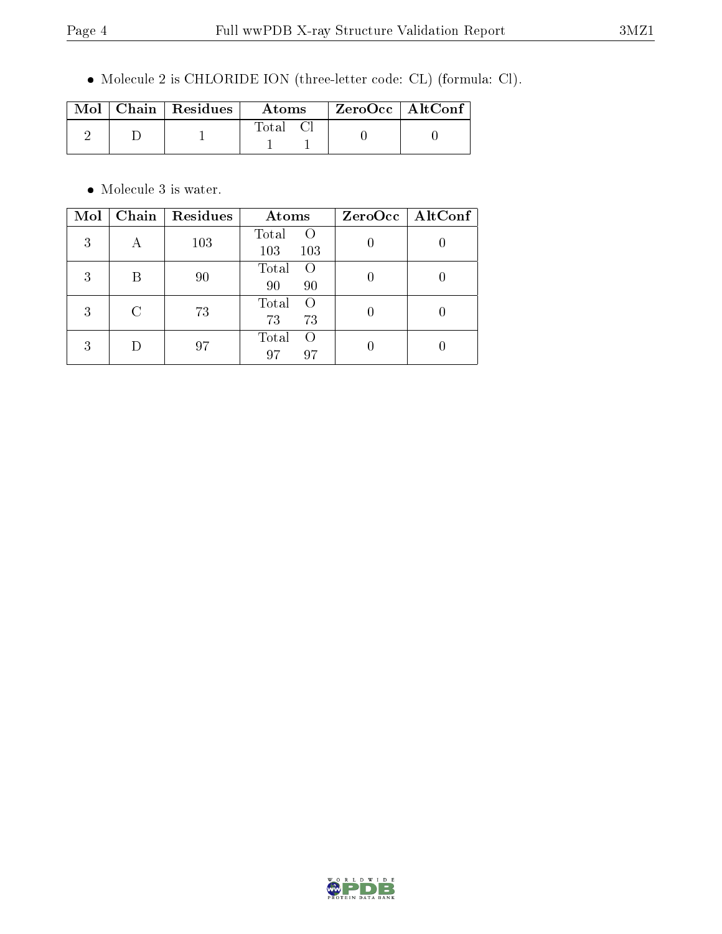Molecule 2 is CHLORIDE ION (three-letter code: CL) (formula: Cl).

|  | $\text{Mol}$   Chain   Residues | <b>Atoms</b> | $^\mathrm{+}$ ZeroOcc $\mathrm{~\vert}$ AltConf $\mathrm{~\vert}$ |  |
|--|---------------------------------|--------------|-------------------------------------------------------------------|--|
|  |                                 | $\rm Total$  |                                                                   |  |

 $\bullet\,$  Molecule 3 is water.

| Mol | Chain | Residues | Atoms                           | $ZeroOcc \mid AltConf \mid$ |
|-----|-------|----------|---------------------------------|-----------------------------|
| 3   | А     | 103      | Total<br>$\left($<br>103<br>103 |                             |
| 3   | B     | 90       | Total<br>$\left($<br>90<br>90   |                             |
| 3   | C     | 73       | Total<br>$\Omega$<br>73<br>73   |                             |
| 3   |       | 97       | Total<br>$\bigcirc$<br>97<br>97 |                             |

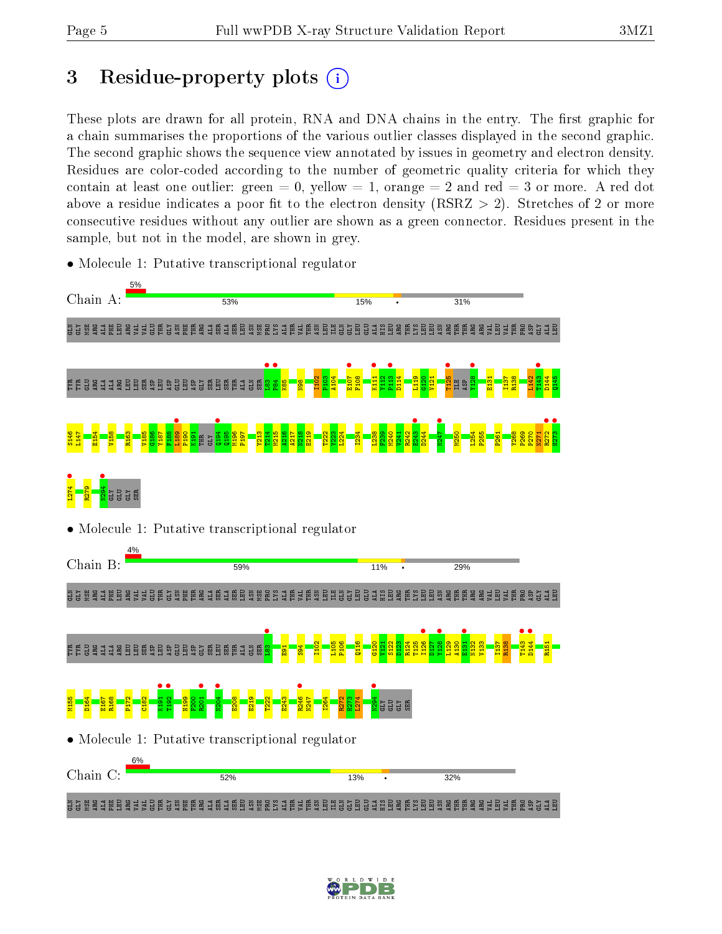# 3 Residue-property plots  $(i)$

These plots are drawn for all protein, RNA and DNA chains in the entry. The first graphic for a chain summarises the proportions of the various outlier classes displayed in the second graphic. The second graphic shows the sequence view annotated by issues in geometry and electron density. Residues are color-coded according to the number of geometric quality criteria for which they contain at least one outlier: green  $= 0$ , yellow  $= 1$ , orange  $= 2$  and red  $= 3$  or more. A red dot above a residue indicates a poor fit to the electron density (RSRZ  $> 2$ ). Stretches of 2 or more consecutive residues without any outlier are shown as a green connector. Residues present in the sample, but not in the model, are shown in grey.



• Molecule 1: Putative transcriptional regulator

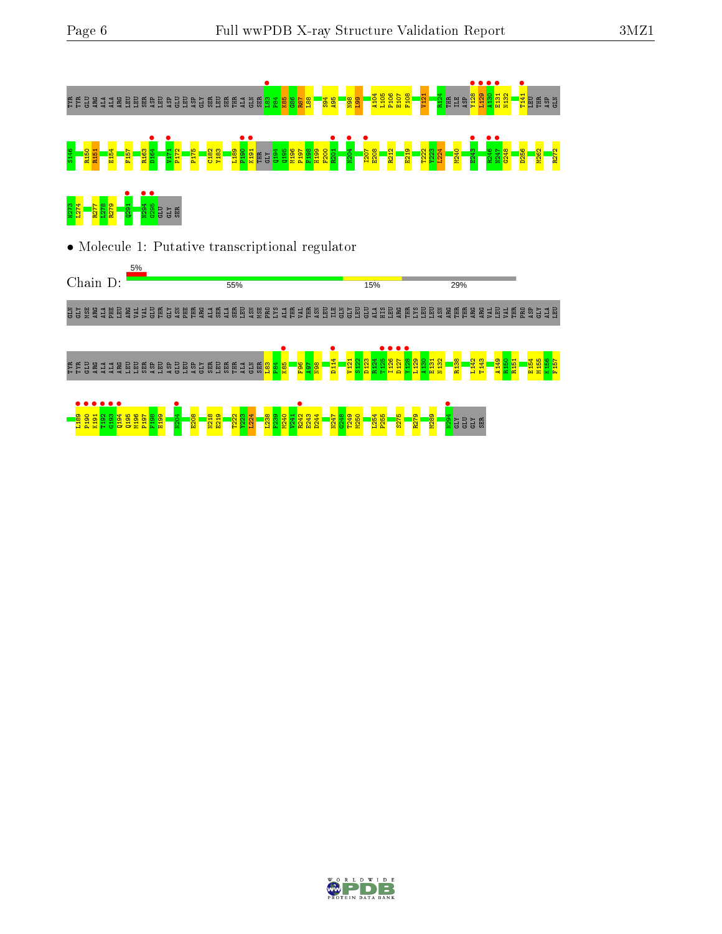

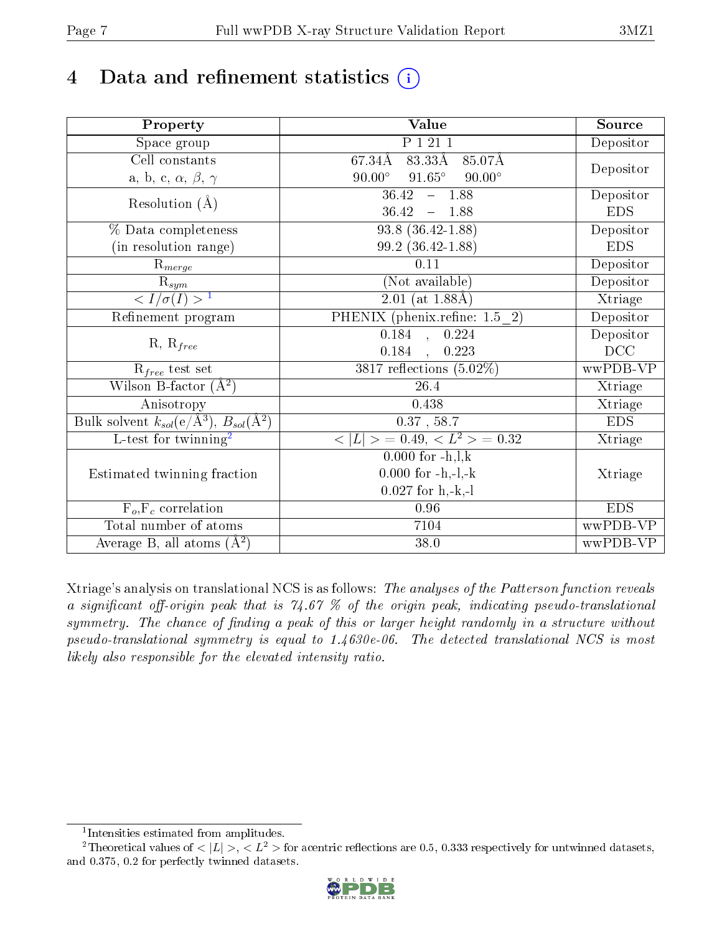# 4 Data and refinement statistics (i)

| Property                                                             | Value                                           | Source     |
|----------------------------------------------------------------------|-------------------------------------------------|------------|
| Space group                                                          | P 1 21 1                                        | Depositor  |
| $\overline{\text{Cell}}$ constants                                   | $83.33\text{\AA}$<br>67.34Å<br>85.07Å           |            |
| a, b, c, $\alpha$ , $\beta$ , $\gamma$                               | $90.00^\circ$<br>$91.65^\circ$<br>$90.00^\circ$ | Depositor  |
| Resolution $(\AA)$                                                   | $\overline{36.42 - 1.88}$                       | Depositor  |
|                                                                      | $36.42 - 1.88$                                  | <b>EDS</b> |
| % Data completeness                                                  | $93.8(36.42 - 1.88)$                            | Depositor  |
| (in resolution range)                                                | 99.2 (36.42-1.88)                               | <b>EDS</b> |
| $R_{merge}$                                                          | 0.11                                            | Depositor  |
| $\bar{\mathrm{R}}_{\underline{sym}}$                                 | (Not available)                                 | Depositor  |
| $\sqrt{I/\sigma(I)} > 1$                                             | $2.01$ (at 1.88Å)                               | Xtriage    |
| Refinement program                                                   | PHENIX (phenix.refine: 1.5 2)                   | Depositor  |
| $R, R_{free}$                                                        | 0.184, 0.224                                    | Depositor  |
|                                                                      | $0.184$ , $0.223$                               | DCC        |
| $R_{free}$ test set                                                  | $3817$ reflections $(5.02\%)$                   | wwPDB-VP   |
| Wilson B-factor $(A^2)$                                              | 26.4                                            | Xtriage    |
| Anisotropy                                                           | 0.438                                           | Xtriage    |
| Bulk solvent $k_{sol}(e/\mathring{A}^3)$ , $B_{sol}(\mathring{A}^2)$ | $0.37$ , 58.7                                   | <b>EDS</b> |
| $\overline{L-test for }$ twinning <sup>2</sup>                       | $< L >$ = 0.49, $< L2$ > = 0.32                 | Xtriage    |
|                                                                      | $0.000$ for $-h, l, k$                          |            |
| Estimated twinning fraction                                          | $0.000$ for $-h,-l,-k$                          | Xtriage    |
|                                                                      | $0.027$ for h,-k,-l                             |            |
| $F_o, F_c$ correlation                                               | 0.96                                            | <b>EDS</b> |
| Total number of atoms                                                | 7104                                            | wwPDB-VP   |
| Average B, all atoms $(A^2)$                                         | 38.0                                            | wwPDB-VP   |

Xtriage's analysis on translational NCS is as follows: The analyses of the Patterson function reveals a significant off-origin peak that is 74.67  $\%$  of the origin peak, indicating pseudo-translational symmetry. The chance of finding a peak of this or larger height randomly in a structure without pseudo-translational symmetry is equal to 1.4630e-06. The detected translational NCS is most likely also responsible for the elevated intensity ratio.

<sup>&</sup>lt;sup>2</sup>Theoretical values of  $\langle |L| \rangle$ ,  $\langle L^2 \rangle$  for acentric reflections are 0.5, 0.333 respectively for untwinned datasets, and 0.375, 0.2 for perfectly twinned datasets.



<span id="page-6-1"></span><span id="page-6-0"></span><sup>1</sup> Intensities estimated from amplitudes.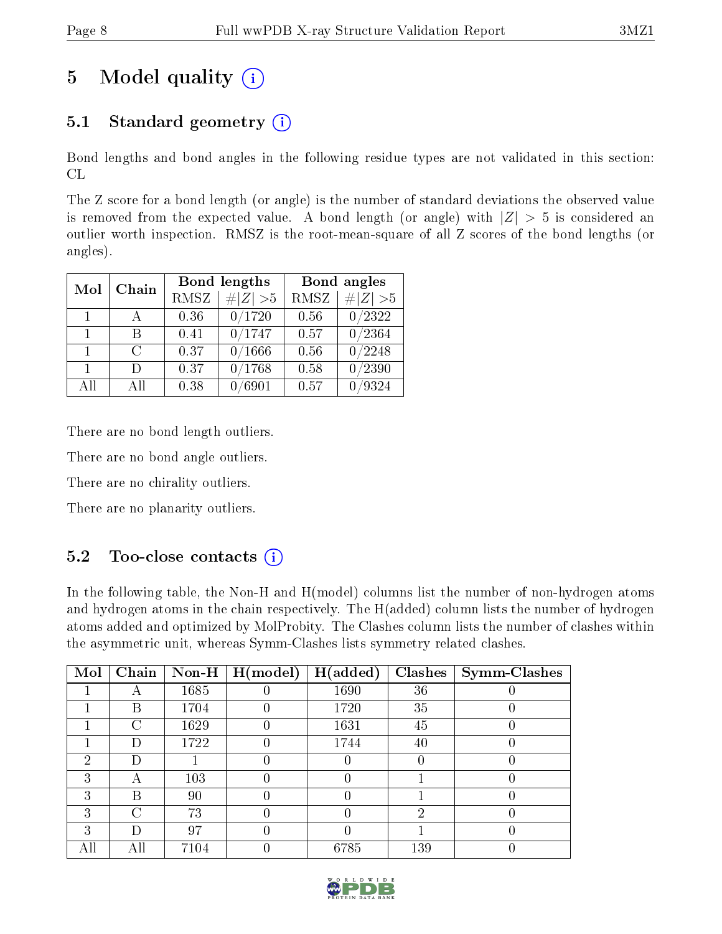# 5 Model quality  $(i)$

## 5.1 Standard geometry  $(i)$

Bond lengths and bond angles in the following residue types are not validated in this section: CL

The Z score for a bond length (or angle) is the number of standard deviations the observed value is removed from the expected value. A bond length (or angle) with  $|Z| > 5$  is considered an outlier worth inspection. RMSZ is the root-mean-square of all Z scores of the bond lengths (or angles).

| Mol            | Chain  |             | Bond lengths | Bond angles |                  |  |  |
|----------------|--------|-------------|--------------|-------------|------------------|--|--|
|                |        | <b>RMSZ</b> | $\# Z  > 5$  | <b>RMSZ</b> | H Z <br>>5       |  |  |
| $\mathbf{1}$   |        | 0.36        | 0/1720       | 0.56        | 0/2322           |  |  |
| $\mathbf{1}$   | R      | 0.41        | 0/1747       | 0.57        | $\frac{0}{2364}$ |  |  |
| $\mathbf{1}$   | $\cap$ | 0.37        | 0/1666       | 0.56        | $\frac{0}{2248}$ |  |  |
| $\overline{1}$ | Ð      | 0.37        | 0/1768       | 0.58        | 0/2390           |  |  |
| All            | Αll    | 0.38        | $\, 6901$    | 0.57        | /9324            |  |  |

There are no bond length outliers.

There are no bond angle outliers.

There are no chirality outliers.

There are no planarity outliers.

## $5.2$  Too-close contacts  $\overline{1}$

In the following table, the Non-H and H(model) columns list the number of non-hydrogen atoms and hydrogen atoms in the chain respectively. The H(added) column lists the number of hydrogen atoms added and optimized by MolProbity. The Clashes column lists the number of clashes within the asymmetric unit, whereas Symm-Clashes lists symmetry related clashes.

| Mol | Chain |          | Non-H $\mid$ H(model) | H(added) | <b>Clashes</b> | Symm-Clashes |
|-----|-------|----------|-----------------------|----------|----------------|--------------|
|     |       | 1685     |                       | 1690     | 36             |              |
|     | В     | 1704     |                       | 1720     | 35             |              |
|     | С     | 1629     |                       | 1631     | 45             |              |
|     | Ð     | 1722     |                       | 1744     | 40             |              |
| ച   | Ð     |          |                       |          |                |              |
|     |       | 103      |                       |          |                |              |
| ົ   | В     | 90       |                       |          |                |              |
| 3   | C     | 73       |                       |          | ٠,             |              |
| 3   | Ð     | 97       |                       |          |                |              |
|     | .ll   | $7104\,$ |                       | 6785     | 139            |              |

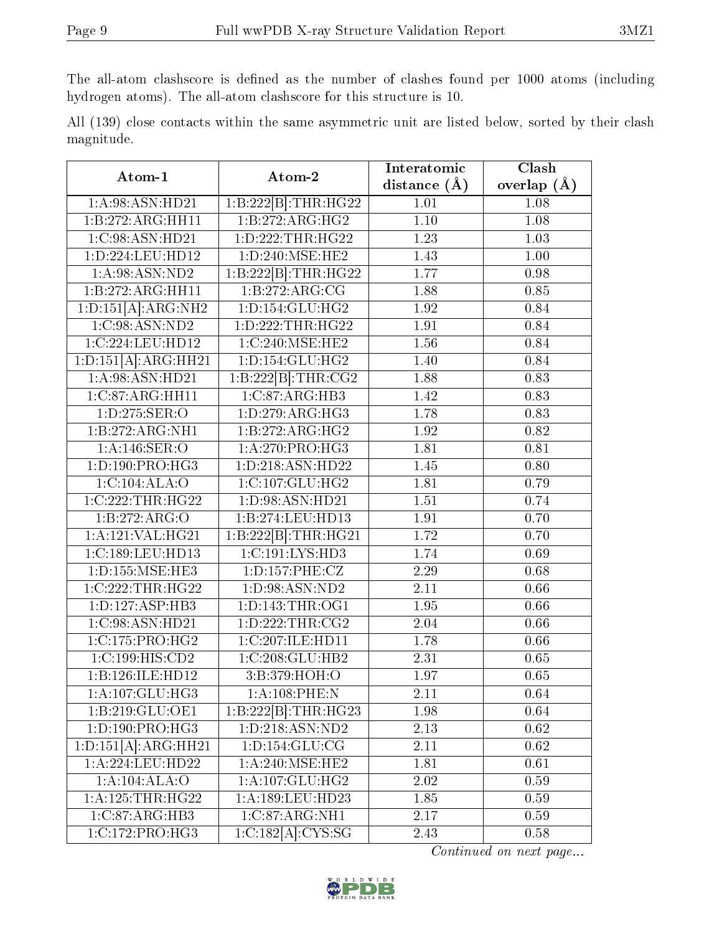The all-atom clashscore is defined as the number of clashes found per 1000 atoms (including hydrogen atoms). The all-atom clashscore for this structure is 10.

|            |  |  | All (139) close contacts within the same asymmetric unit are listed below, sorted by their clash |  |  |  |  |
|------------|--|--|--------------------------------------------------------------------------------------------------|--|--|--|--|
| magnitude. |  |  |                                                                                                  |  |  |  |  |

| Atom-1                            | Atom-2                                          | Interatomic       | Clash           |
|-----------------------------------|-------------------------------------------------|-------------------|-----------------|
|                                   |                                                 | distance $(A)$    | overlap $(\AA)$ |
| 1:A:98:ASN:HD21                   | $1:B:222[\overline{B}]\cdot\overline{THR:HG22}$ | 1.01              | 1.08            |
| 1:B:272:ARG:HH11                  | 1:B:272:ARG:HG2                                 | 1.10              | 1.08            |
| 1:C:98:ASN:HD21                   | 1: D: 222: THR: HG22                            | 1.23<br>1.03      |                 |
| 1:D:224:LEU:HD12                  | 1:D:240:MSE:HE2                                 | 1.43              | 1.00            |
| 1: A:98: ASN:ND2                  | 1:B:222[B]:THR:HG22                             | 1.77              | 0.98            |
| 1:B:272:ARG:HH11                  | 1:B:272:ARG:CG                                  | 1.88              | 0.85            |
| 1:D:151[A]:ARG:NH2                | 1: D: 154: GLU: HG2                             | 1.92              | 0.84            |
| 1:C:98:ASN:ND2                    | 1: D: 222: THR: HG22                            | 1.91              | 0.84            |
| 1:C:224:LEU:HD12                  | 1:C:240:MSE:HE2                                 | 1.56              | 0.84            |
| 1:D:151[A]:ARG:HH21               | 1: D: 154: GLU: HG2                             | 1.40              | 0.84            |
| 1:A:98:ASN:HD21                   | $1:B:222[B]:\text{THR}:CG2$                     | 1.88              | 0.83            |
| 1:C:87:ARG:HH11                   | 1:C:87:ARG:HB3                                  | 1.42              | 0.83            |
| 1:D:275:SER:O                     | 1: D: 279: ARG: HG3                             | 1.78              | 0.83            |
| 1:B:272:ARG:NH1                   | 1:B:272:ARG:HG2                                 | 1.92              | 0.82            |
| $1:A:146:\overline{\text{SER}:O}$ | 1: A:270: PRO:HG3                               | 1.81              | 0.81            |
| 1:D:190:PRO:HG3                   | 1:D:218:ASN:HD22                                | 1.45              | 0.80            |
| 1:C:104:ALA:O                     | 1:C:107:GLU:HG2                                 | 1.81              | 0.79            |
| 1:C:222:THR:HG22                  | 1:D:98:ASN:HD21                                 | 1.51              | 0.74            |
| 1:B:272:ARG:O                     | 1:B:274:LEU:HD13                                | 1.91              | 0.70            |
| 1: A:121: VAL:HG21                | $1:B:222[B]:\text{THR}:HG21$                    | 1.72              | 0.70            |
| 1:C:189:LEU:HD13                  | 1:C:191:LYS:HD3                                 | 1.74              | 0.69            |
| 1: D: 155: MSE: HE3               | 1:D:157:PHE:CZ                                  | 2.29              | 0.68            |
| 1:C:222:THR:HG22                  | 1:D:98:ASN:ND2                                  | 2.11              | 0.66            |
| 1: D: 127: ASP: HB3               | 1: D: 143: THR: OG1                             | 1.95              | 0.66            |
| 1:C:98:ASN:HD21                   | 1: D: 222: THR: CG2                             | 2.04              | 0.66            |
| 1:C:175:PRO:HG2                   | 1:C:207:ILE:HD11                                | 1.78              | 0.66            |
| 1:C:199:HIS:CD2                   | 1:C:208:GLU:HB2                                 | 2.31              | 0.65            |
| 1:B:126:ILE:HD12                  | 3:B:379:HOH:O                                   | 1.97              | 0.65            |
| 1:A:107:GLU:HG3                   | 1:A:108:PHE:N                                   | $\overline{2.11}$ | 0.64            |
| 1:B:219:GLU:OE1                   | 1:B:222[B]:THR:HG23                             | 1.98              | 0.64            |
| 1:D:190:PRO:HG3                   | $1: D: 218: ASN: \overline{ND2}$                | 2.13              | 0.62            |
| 1:D:151[A]:ARG:HH21               | 1: D: 154: GLU: CG                              | 2.11              | 0.62            |
| 1:A:224:LEU:HD22                  | 1: A:240:MSE:HE2                                | 1.81              | 0.61            |
| 1:A:104:ALA:O                     | $1:A:107:\overline{GLU:HG2}$                    | 2.02              | 0.59            |
| 1: A: 125: THR: HG22              | 1:A:189:LEU:HD23                                | 1.85              | 0.59            |
| $1:C:87:ARG:H\overline{B3}$       | $1:C:87:ARG:\overline{NH1}$                     | 2.17              | 0.59            |
| 1:C:172:PRO:HG3                   | 1:C:182[A]:CYS:SG                               | 2.43              | 0.58            |

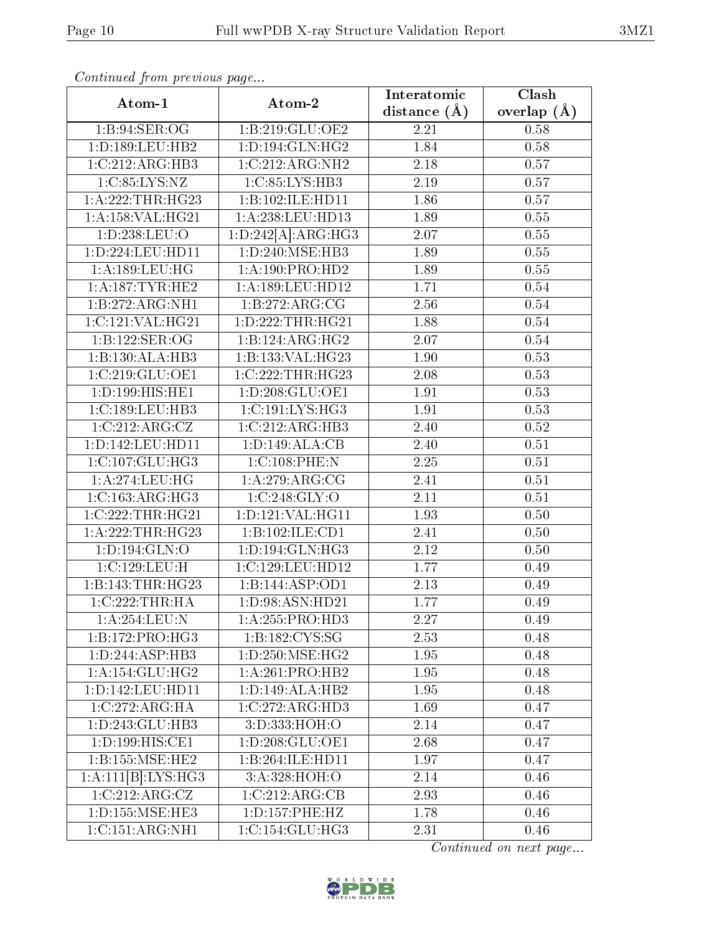| $\mathbf{v}$ $\mathbf{r}$<br>Atom-1   | Atom-2                          | Clash<br>Interatomic |                 |
|---------------------------------------|---------------------------------|----------------------|-----------------|
|                                       |                                 | distance $(A)$       | overlap $(\AA)$ |
| 1:B:94:SER:OG                         | 1:B:219:GLU:OE2                 | 2.21                 | 0.58            |
| 1: D: 189: LEU: HB2                   | 1: D: 194: GLN: HG2             | 1.84                 | 0.58            |
| 1:C:212:ARG:HB3                       | 1:C:212:ARG:NH2                 | 2.18                 | 0.57            |
| 1:C:85:LYS:NZ                         | 1:C:85:LYS:HB3                  | 2.19                 | 0.57            |
| 1: A:222:THR:HG23                     | 1:B:102:ILE:HD11                | 1.86                 | 0.57            |
| 1: A: 158: VAL:HG21                   | 1:A:238:LEU:HD13                | 1.89                 | $0.55\,$        |
| 1:D:238:LEU:O                         | 1:D:242[A]:ARG:HG3              | $2.\overline{07}$    | 0.55            |
| 1:D:224:LEU:HD11                      | 1: D: 240: MSE: HB3             | 1.89                 | 0.55            |
| 1: A: 189: LEU: HG                    | 1: A: 190: PRO: HD2             | 1.89                 | 0.55            |
| 1:A:187:TYR:HE2                       | 1:A:189:LEU:HD12                | 1.71                 | 0.54            |
| 1:B:272:ARG:NH1                       | 1:B:272:ARG:CG                  | 2.56                 | 0.54            |
| 1:C:121:VAL:HG21                      | 1:D:222:THR:HG21                | 1.88                 | 0.54            |
| 1:B:122:SER:OG                        | 1:B:124:ARG:HG2                 | 2.07                 | 0.54            |
| 1:B:130:ALA:HB3                       | 1:B:133:VAL:HG23                | 1.90                 | 0.53            |
| 1:C:219:GLU:OE1                       | 1:C:222:THR:HG23                | 2.08                 | 0.53            |
| 1:D:199:HIS:HE1                       | 1: D: 208: GLU: OE1             | 1.91                 | 0.53            |
| 1:C:189:LEU:HB3                       | 1:C:191:LYS:HG3                 | 1.91                 | 0.53            |
| 1:C:212:ARG:CZ                        | 1:C:212:ARG:HB3                 | 2.40                 | 0.52            |
| 1:D:142:LEU:HD11                      | 1:D:149:ALA:CB                  | 2.40                 | 0.51            |
| 1:C:107:GLU:HG3                       | 1:C:108:PHE:N                   | 2.25                 | 0.51            |
| 1:A:274:LEU:HG                        | 1:A:279:ARG:CG                  | 2.41                 | 0.51            |
| 1:C:163:ARG:HG3                       | 1:C:248:GLY:O                   | 2.11                 | 0.51            |
| 1:C:222:THR:HG21                      | 1: D: 121: VAL: HG11            | 1.93                 | 0.50            |
| 1:A:222:THR:HG23                      | 1:B:102:ILE:CD1                 | 2.41                 | 0.50            |
| 1: D: 194: GLN: O                     | 1: D: 194: GLN: HG3             | 2.12                 | 0.50            |
| 1:C:129:LEU:H                         | 1:C:129:LEU:HD12                | 1.77                 | 0.49            |
| 1:B:143:THR:HG23                      | 1:B:144:ASP:OD1                 | 2.13                 | 0.49            |
| 1:C:222:THR:HA                        | 1:D:98:ASN:HD21                 | 1.77                 | 0.49            |
| 1: A:254:LEU: N                       | 1: A: 255: PRO: HD3             | 2.27                 | 0.49            |
| 1:B:172:PRO:HG3                       | $1: B: 182: CYS: \overline{SG}$ | 2.53                 | 0.48            |
| 1:D:244:ASP:HB3                       | 1: D: 250: MSE: HG2             | 1.95                 | 0.48            |
| 1: A:154: GLU:HG2                     | 1:A:261:PRO:HB2                 | 1.95                 | 0.48            |
| 1:D:142:LEU:HD11                      | 1:D:149:ALA:HB2                 | 1.95                 | 0.48            |
| 1:C:272:ARG:HA                        | 1:C:272:ARG:HD3                 | 1.69                 | 0.47            |
| 1:D:243:GLU:HB3                       | 3: D: 333: HOH: O               | 2.14                 | 0.47            |
| 1: D: 199: HIS: CE1                   | 1: D: 208: GLU: OE1             | 2.68                 | 0.47            |
| 1:B:155:MSE:HE2                       | 1:B:264:ILE:HD11                | 1.97                 | 0.47            |
| 1:A:111[B]:LYS:HG3                    | 3:A:328:HOH:O                   | 2.14                 | 0.46            |
| 1:C:212:ARG:CZ                        | 1:C:212:ARG:CB                  | 2.93                 | 0.46            |
| 1: D: 155: MSE: HE3                   | 1: D: 157: PHE: HZ              | 1.78                 | 0.46            |
| $1:C:151:A\overline{\mathrm{RG:NH1}}$ | 1:C:154:GLU:HG3                 | 2.31                 | 0.46            |

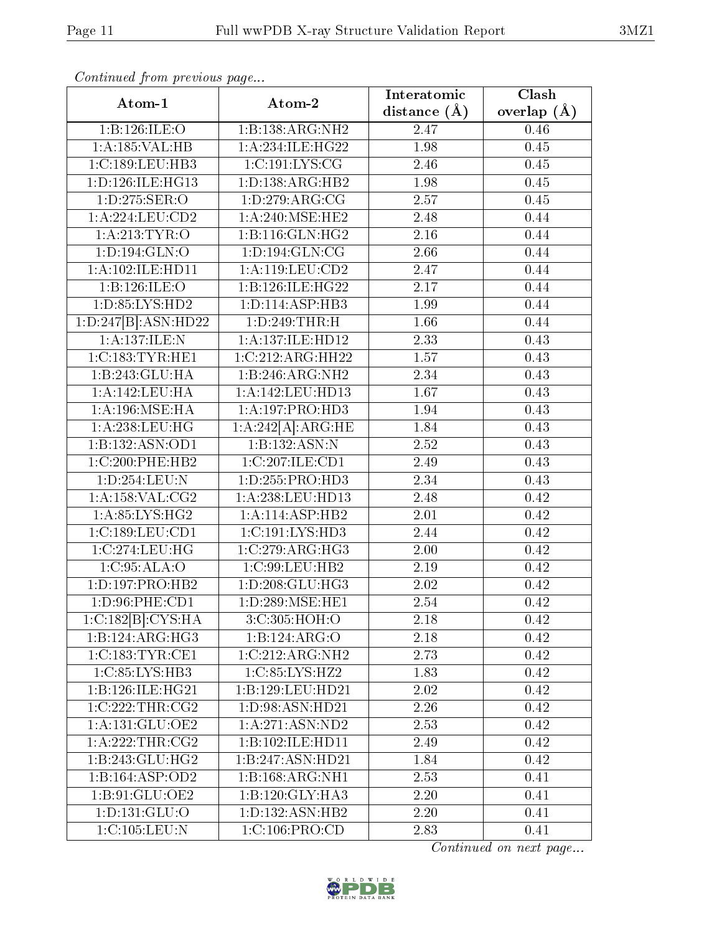| Atom-1                         | Atom-2                              | Interatomic<br>Clash |                 |
|--------------------------------|-------------------------------------|----------------------|-----------------|
|                                |                                     | distance (Å)         | overlap $(\AA)$ |
| 1:B:126:ILE:O                  | 1:B:138:ARG:NH2                     | 2.47                 | 0.46            |
| 1:A:185:VAL:HB                 | 1:A:234:ILE:HG22                    | 1.98                 | 0.45            |
| 1:C:189:LEU:HB3                | 1:C:191:LYS:CG                      | 2.46                 | 0.45            |
| 1: D: 126: ILE: HG13           | 1:D:138:ARG:HB2                     | 1.98                 | 0.45            |
| 1:D:275:SER:O                  | 1: D: 279: ARG: CG                  | 2.57                 | 0.45            |
| 1: A:224:LEU:CD2               | 1:A:240:MSE:HE2                     | 2.48                 | 0.44            |
| 1:A:213:TYR:O                  | 1:B:116:GLN:HG2                     | 2.16                 | 0.44            |
| 1: D: 194: GLN: O              | 1: D: 194: GLN: CG                  | 2.66                 | 0.44            |
| 1:A:102:ILE:HD11               | 1:A:119:LEU:CD2                     | 2.47                 | 0.44            |
| 1:B:126:ILE:O                  | 1:B:126:ILE:HG22                    | 2.17                 | 0.44            |
| 1:D:85:LYS:HD2                 | 1: D: 114: ASP: HB3                 | 1.99                 | 0.44            |
| 1:D:247[B]:ASN:HD22            | 1:D:249:THR:H                       | 1.66                 | 0.44            |
| 1:A:137:ILE:N                  | 1:A:137:ILE:HD12                    | 2.33                 | 0.43            |
| 1:C:183:TYR:HE1                | 1:C:212:ARG:HH22                    | 1.57                 | 0.43            |
| 1:B:243:GLU:HA                 | 1:B:246:ARG:NH2                     | 2.34                 | 0.43            |
| 1:A:142:LEU:HA                 | 1:A:142:LEU:HD13                    | 1.67                 | 0.43            |
| 1: A:196:MSE:HA                | 1: A: 197: PRO: HD3                 | 1.94                 | 0.43            |
| 1: A:238:LEU:HG                | 1:A:242[A]:ARG:HE                   | 1.84                 | 0.43            |
| 1:B:132:ASN:OD1                | 1:B:132:ASN:N                       | 2.52                 | 0.43            |
| 1:C:200:PHE:HB2                | 1:C:207:ILE:CD1                     | 2.49                 | 0.43            |
| 1:D:254:LEU:N                  | 1: D: 255: PRO: HD3                 | 2.34                 | 0.43            |
| 1:A:158:VAL:CG2                | 1:A:238:LEU:HD13                    | 2.48                 | 0.42            |
| 1:A:85:LYS:HG2                 | 1:A:114:ASP:HB2                     | 2.01                 | 0.42            |
| 1:C:189:LEU:CD1                | 1:C:191:LYS:HD3                     | 2.44                 | 0.42            |
| 1:C:274:LEU:HG                 | 1:C:279:ARG:HG3                     | 2.00                 | 0.42            |
| 1:C:95:ALA:O                   | 1:C:99:LEU:HB2                      | 2.19                 | 0.42            |
| 1:D:197:PRO:HB2                | 1: D: 208: GLU: HG3                 | 2.02                 | 0.42            |
| 1:D:96:PHE:CD1                 | $1:D:289:\overline{\text{MSE:HE1}}$ | 2.54                 | 0.42            |
| 1:C:182[B]:CYS:HA              | 3:C:305:HOH:O                       | 2.18                 | 0.42            |
| 1:B:124:ARG:HG3                | 1:B:124:ARG:O                       | 2.18                 | 0.42            |
| 1:C:183:TYR:CE1                | 1:C:212:ARG:NH2                     | 2.73                 | 0.42            |
| 1: C: 85: LYS: HB3             | 1:C:85:LYS:HZ2                      | 1.83                 | 0.42            |
| 1:B:126:ILE:HG21               | 1:B:129:LEU:HD21                    | 2.02                 | 0.42            |
| 1:C:222:THR:CG2                | 1: D:98: ASN:HD21                   | 2.26                 | 0.42            |
| $1: A:131: \overline{GLU:OE2}$ | 1:A:271:ASN:ND2                     | 2.53                 | 0.42            |
| 1:A:222:THR:CG2                | 1:B:102:ILE:HD11                    | 2.49                 | 0.42            |
| 1:B:243:GLU:HG2                | 1:B:247:ASN:HD21                    | 1.84                 | 0.42            |
| 1:B:164:ASP:OD2                | 1:B:168:ARG:NH1                     | 2.53                 | 0.41            |
| 1:B:91:GLU:OE2                 | 1:B:120:GLY:HA3                     | 2.20                 | 0.41            |
| 1: D: 131: GLU: O              | 1: D: 132: ASN: HB2                 | 2.20                 | 0.41            |
| 1:C:105:LEU:N                  | 1:C:106:PRO:CD                      | 2.83                 | 0.41            |

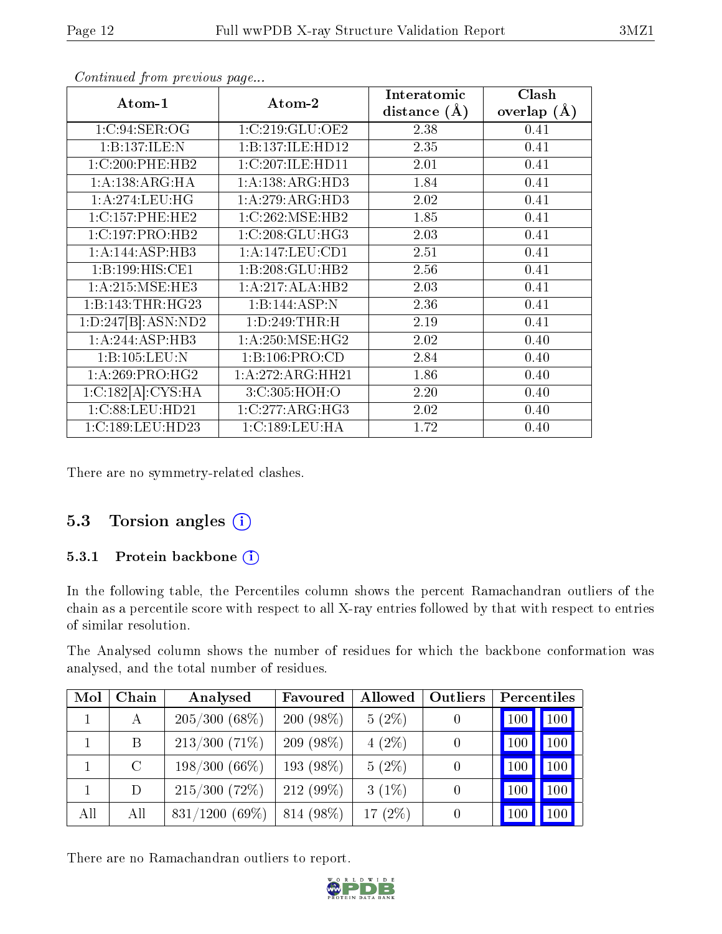| Atom-1                          | Atom-2            | Interatomic    | Clash         |
|---------------------------------|-------------------|----------------|---------------|
|                                 |                   | distance $(A)$ | overlap $(A)$ |
| 1:C:94:SER:OG                   | 1:C:219:GLU:OE2   | 2.38           | 0.41          |
| 1:B:137:ILE:N                   | 1:B:137:ILE:HD12  | 2.35           | 0.41          |
| 1:C:200:PHE:HB2                 | 1:C:207:ILE:HD11  | 2.01           | 0.41          |
| 1:A:138:ARG:HA                  | 1:A:138:ARG:HD3   | 1.84           | 0.41          |
| 1: A:274:LEU:HG                 | 1:A:279:ARG:HD3   | 2.02           | 0.41          |
| 1:C:157:PHE:HE2                 | 1:C:262:MSE:HB2   | 1.85           | 0.41          |
| 1:C:197:PRO:HB2                 | 1:C:208:GLU:HG3   | 2.03           | 0.41          |
| 1:A:144:ASP:HB3                 | 1:A:147:LEU:CD1   | 2.51           | 0.41          |
| 1:B:199:HIS:CE1                 | 1:B:208:GLU:HB2   | 2.56           | 0.41          |
| 1: A:215: MSE: HE3              | 1:A:217:ALA:HB2   | 2.03           | 0.41          |
| 1:B:143:THR:HG23                | 1:B:144:ASP:N     | 2.36           | 0.41          |
| $1:D:247\overline{[B]:ASN:ND2}$ | 1: D: 249: THR:H  | 2.19           | 0.41          |
| 1:A:244:ASP:HB3                 | 1: A:250: MSE:HG2 | 2.02           | 0.40          |
| 1:B:105:LEU:N                   | 1:B:106:PRO:CD    | 2.84           | 0.40          |
| 1: A:269:PRO:HG2                | 1:A:272:ARG:HH21  | 1.86           | 0.40          |
| 1:C:182[A]:CYS:HA               | 3:C:305:HOH:O     | 2.20           | 0.40          |
| 1:C:88:LEU:HD21                 | 1:C:277:ARG:HG3   | 2.02           | 0.40          |
| 1:C:189:LEU:HD23                | 1:C:189:LEU:HA    | 1.72           | 0.40          |

There are no symmetry-related clashes.

### 5.3 Torsion angles  $(i)$

#### 5.3.1 Protein backbone (i)

In the following table, the Percentiles column shows the percent Ramachandran outliers of the chain as a percentile score with respect to all X-ray entries followed by that with respect to entries of similar resolution.

The Analysed column shows the number of residues for which the backbone conformation was analysed, and the total number of residues.

| Mol | Chain   | Analysed         | Favoured    | Allowed    | Outliers         | Percentiles      |
|-----|---------|------------------|-------------|------------|------------------|------------------|
|     | А       | $205/300(68\%)$  | $200(98\%)$ | $5(2\%)$   |                  | 100<br>100       |
|     | B       | $213/300$ (71\%) | $209(98\%)$ | $4(2\%)$   |                  | 100<br>100       |
|     | $\rm C$ | $198/300(66\%)$  | $193(98\%)$ | $5(2\%)$   | $\left( \right)$ | 100<br>100       |
|     | D       | $215/300$ (72\%) | $212(99\%)$ | $3(1\%)$   |                  | 100<br>100       |
| All | All     | $831/1200$ (69%) | 814 (98%)   | 17 $(2\%)$ |                  | 100 <sub>l</sub> |

There are no Ramachandran outliers to report.

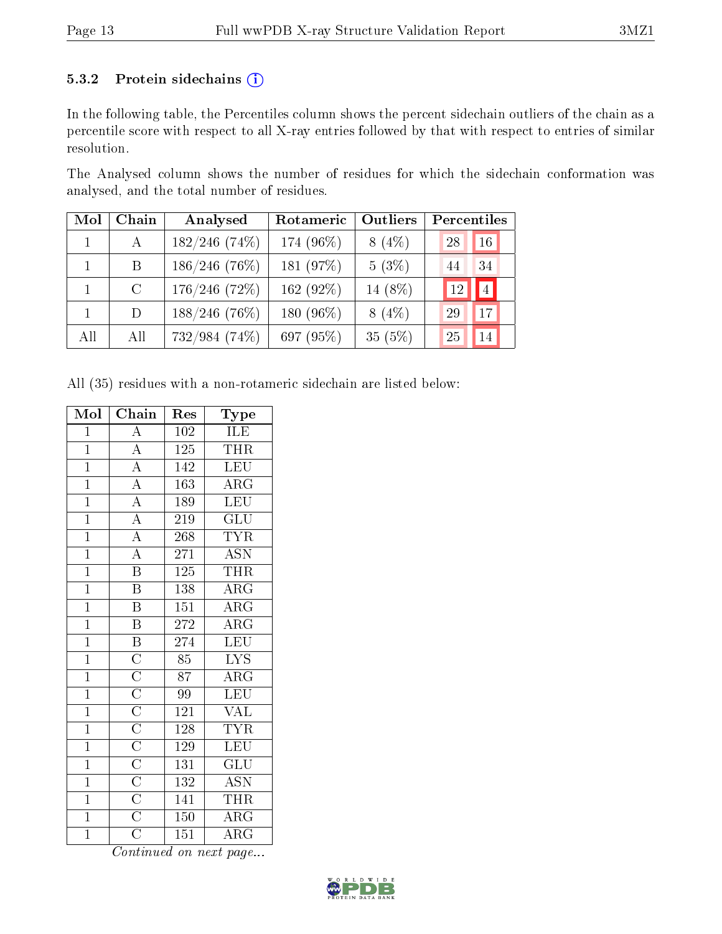#### 5.3.2 Protein sidechains (i)

In the following table, the Percentiles column shows the percent sidechain outliers of the chain as a percentile score with respect to all X-ray entries followed by that with respect to entries of similar resolution.

The Analysed column shows the number of residues for which the sidechain conformation was analysed, and the total number of residues.

| Mol          | Chain        | Analysed        | Rotameric | Outliers | Percentiles |
|--------------|--------------|-----------------|-----------|----------|-------------|
|              | $\mathbf{A}$ | $182/246$ (74%) | 174 (96%) | $8(4\%)$ | 28<br>16    |
| $\mathbf{1}$ | Β            | $186/246$ (76%) | 181 (97%) | $5(3\%)$ | 44<br>34    |
|              | $\rm C$      | $176/246$ (72%) | 162 (92%) | 14 (8%)  | 4 <br>12    |
|              | D            | $188/246$ (76%) | 180 (96%) | $8(4\%)$ | 29<br>17    |
| All          | All          | 732/984 (74%)   | 697 (95%) | 35(5%)   | 25<br>14    |

All (35) residues with a non-rotameric sidechain are listed below:

| Mol            | Chain                                                                                                | $\operatorname{Res}% \left( \mathcal{N}\right) \equiv\operatorname{Res}(\mathcal{N}_{0})\cap\mathcal{N}_{1}$ | $_{\rm Type}$           |
|----------------|------------------------------------------------------------------------------------------------------|--------------------------------------------------------------------------------------------------------------|-------------------------|
| $\overline{1}$ | $\overline{\rm A}$                                                                                   | 102                                                                                                          | ILE                     |
| $\mathbf{1}$   | $\overline{A}$                                                                                       | $125\,$                                                                                                      | <b>THR</b>              |
| $\overline{1}$ | $\overline{A}$                                                                                       | 142                                                                                                          | <b>LEU</b>              |
| $\overline{1}$ | $\overline{A}$                                                                                       | 163                                                                                                          | $\rm{ARG}$              |
| $\overline{1}$ | $\overline{A}$                                                                                       | 189                                                                                                          | <b>LEU</b>              |
| $\overline{1}$ | $\overline{A}$                                                                                       | 219                                                                                                          | $\overline{\text{GLU}}$ |
| $\overline{1}$ | $\overline{A}$                                                                                       | 268                                                                                                          | <b>TYR</b>              |
| $\overline{1}$ | $\overline{\rm A}$                                                                                   | 271                                                                                                          | <b>ASN</b>              |
| $\overline{1}$ | $\overline{\mathbf{B}}$                                                                              | 125                                                                                                          | THR                     |
| $\overline{1}$ | $\overline{\mathrm{B}}$                                                                              | 138                                                                                                          | $\overline{\rm{ARG}}$   |
| $\overline{1}$ | $\overline{\mathrm{B}}$                                                                              | 151                                                                                                          | $\overline{\text{ARG}}$ |
| $\overline{1}$ | $\overline{\mathrm{B}}$                                                                              | $\bf 272$                                                                                                    | $\overline{\text{ARG}}$ |
| $\overline{1}$ | $\overline{\mathrm{B}}$                                                                              | 274                                                                                                          | LEU                     |
| $\overline{1}$ |                                                                                                      | $\overline{85}$                                                                                              | $\overline{\text{LYS}}$ |
| $\overline{1}$ |                                                                                                      | 87                                                                                                           | $\rm{ARG}$              |
| $\overline{1}$ |                                                                                                      | 99                                                                                                           | <b>LEU</b>              |
| $\overline{1}$ | $\frac{\overline{\text{C}}}{\overline{\text{C}}}}$ $\frac{\overline{\text{C}}}{\overline{\text{C}}}$ | 121                                                                                                          | <b>VAL</b>              |
| $\overline{1}$ |                                                                                                      | $128\,$                                                                                                      | $\overline{\text{TYR}}$ |
| $\overline{1}$ | $\overline{C}$                                                                                       | 129                                                                                                          | LEU                     |
| $\overline{1}$ | $\overline{\text{C}}$                                                                                | 131                                                                                                          | GLU                     |
| $\overline{1}$ |                                                                                                      | $\overline{132}$                                                                                             | <b>ASN</b>              |
| $\overline{1}$ | $\frac{\overline{\text{C}}}{\overline{\text{C}}}$                                                    | 141                                                                                                          | THR                     |
| $\overline{1}$ |                                                                                                      | $150\,$                                                                                                      | $\rm{ARG}$              |
| $\overline{1}$ | $\overline{\rm C}$                                                                                   | $\overline{151}$                                                                                             | $\rm{ARG}$              |

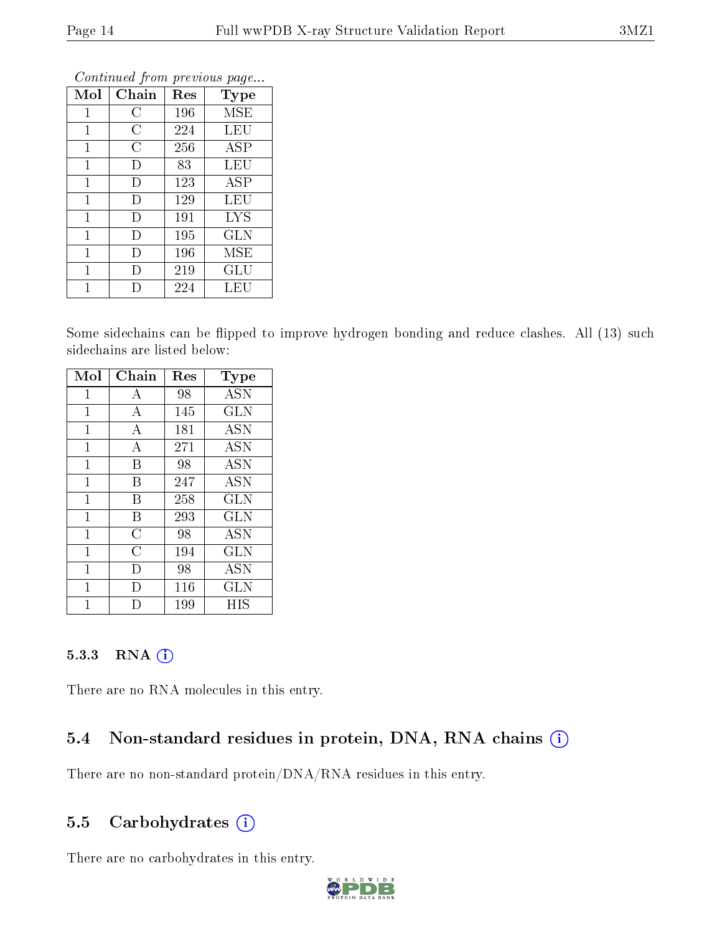| Mol          | Chain          | Res | Type                           |
|--------------|----------------|-----|--------------------------------|
| 1            | С              | 196 | <b>MSE</b>                     |
| 1            | $\overline{C}$ | 224 | LEU                            |
| 1            | C              | 256 | ASP                            |
| $\mathbf{1}$ | I)             | 83  | LEU                            |
| $\mathbf{1}$ | Ð              | 123 | $\overline{\text{A}}\text{SP}$ |
| $\mathbf{1}$ | D              | 129 | LEU                            |
| 1            | D              | 191 | <b>LYS</b>                     |
| $\mathbf{1}$ | Ð              | 195 | GLN                            |
| $\mathbf{1}$ | Ð              | 196 | MSE                            |
| 1            | I)             | 219 | GLU                            |
|              |                | 224 | LEU                            |

Some sidechains can be flipped to improve hydrogen bonding and reduce clashes. All (13) such sidechains are listed below:

| Mol          | Chain          | Res | <b>Type</b> |
|--------------|----------------|-----|-------------|
| 1            | А              | 98  | <b>ASN</b>  |
| $\mathbf{1}$ | A              | 145 | GLN         |
| 1            | А              | 181 | <b>ASN</b>  |
| 1            | А              | 271 | <b>ASN</b>  |
| 1            | B              | 98  | <b>ASN</b>  |
| 1            | В              | 247 | <b>ASN</b>  |
| 1            | В              | 258 | <b>GLN</b>  |
| 1            | B              | 293 | GLN         |
| 1            | $\overline{C}$ | 98  | ASN         |
| 1            | C              | 194 | <b>GLN</b>  |
| 1            | $\vert$ )      | 98  | <b>ASN</b>  |
| 1            | I)             | 116 | GLN         |
|              |                | 199 | НIS         |

#### 5.3.3 RNA [O](https://www.wwpdb.org/validation/2017/XrayValidationReportHelp#rna)i

There are no RNA molecules in this entry.

## 5.4 Non-standard residues in protein, DNA, RNA chains (i)

There are no non-standard protein/DNA/RNA residues in this entry.

### 5.5 Carbohydrates  $(i)$

There are no carbohydrates in this entry.

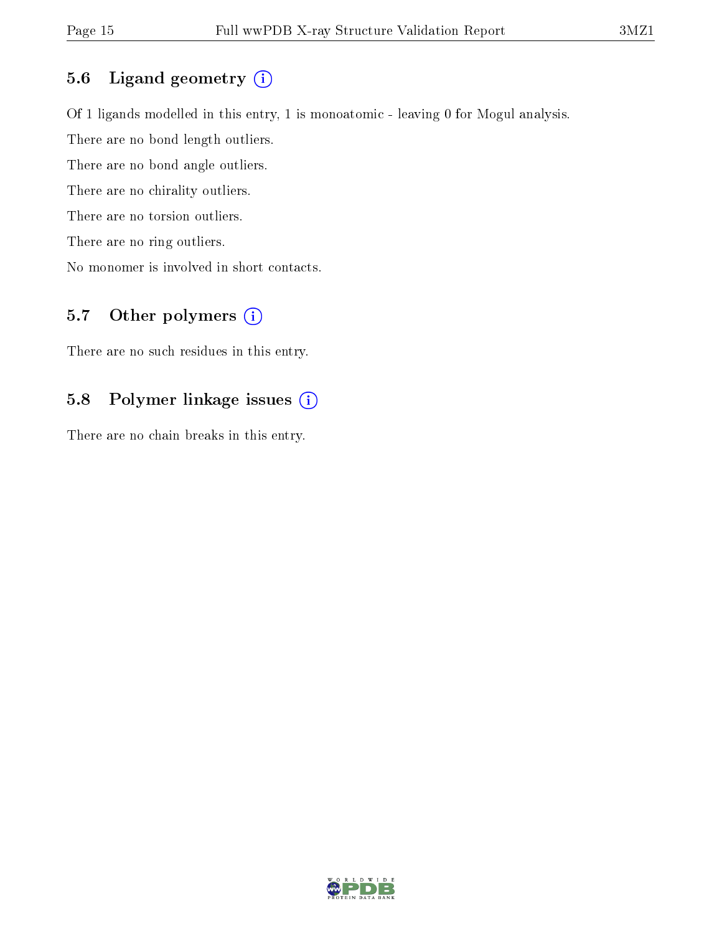### 5.6 Ligand geometry (i)

Of 1 ligands modelled in this entry, 1 is monoatomic - leaving 0 for Mogul analysis.

There are no bond length outliers.

There are no bond angle outliers.

There are no chirality outliers.

There are no torsion outliers.

There are no ring outliers.

No monomer is involved in short contacts.

## 5.7 [O](https://www.wwpdb.org/validation/2017/XrayValidationReportHelp#nonstandard_residues_and_ligands)ther polymers (i)

There are no such residues in this entry.

### 5.8 Polymer linkage issues (i)

There are no chain breaks in this entry.

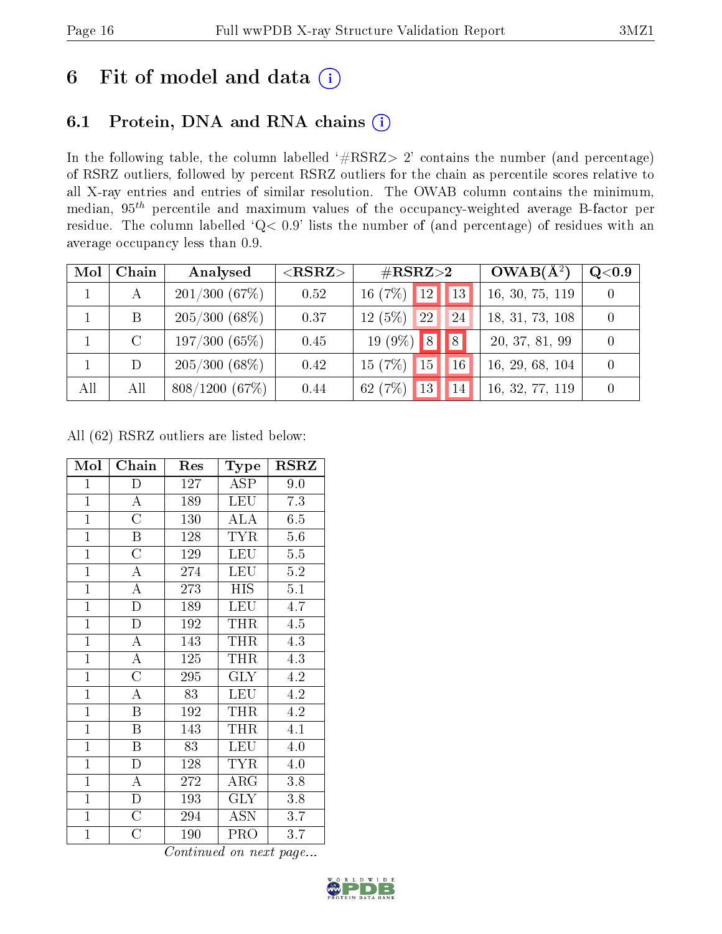# 6 Fit of model and data  $(i)$

# 6.1 Protein, DNA and RNA chains  $(i)$

In the following table, the column labelled  $#RSRZ> 2'$  contains the number (and percentage) of RSRZ outliers, followed by percent RSRZ outliers for the chain as percentile scores relative to all X-ray entries and entries of similar resolution. The OWAB column contains the minimum, median,  $95<sup>th</sup>$  percentile and maximum values of the occupancy-weighted average B-factor per residue. The column labelled ' $Q< 0.9$ ' lists the number of (and percentage) of residues with an average occupancy less than 0.9.

| Mol | Chain | Analysed        | ${ <\hspace{-1.5pt}{\mathrm{RSRZ}} \hspace{-1.5pt}>}$ | $\rm \#RSRZ{>}2$                |    | $OWAB(A^2)$     | Q <sub>0.9</sub> |
|-----|-------|-----------------|-------------------------------------------------------|---------------------------------|----|-----------------|------------------|
|     |       | 201/300(67%)    | 0.52                                                  | 16(7%)<br> 12                   | 13 | 16, 30, 75, 119 |                  |
|     | B     | $205/300(68\%)$ | 0.37                                                  | $12(5\%)$<br><sup>22</sup>      | 24 | 18, 31, 73, 108 |                  |
|     |       | 197/300(65%)    | 0.45                                                  | $19(9\%)$ 8                     | 8  | 20, 37, 81, 99  |                  |
|     | D     | $205/300(68\%)$ | 0.42                                                  | 15(7%)<br>$\vert$ 15            | 16 | 16, 29, 68, 104 |                  |
| All | All   | 808/1200(67%)   | 0.44                                                  | 62 $(7%)$<br>$\blacksquare$ 13' | 14 | 16, 32, 77, 119 |                  |

All (62) RSRZ outliers are listed below:

| Mol            | Chain                   | Res | Type                 | <b>RSRZ</b> |
|----------------|-------------------------|-----|----------------------|-------------|
| $\mathbf{1}$   | D                       | 127 | $\operatorname{ASP}$ | 9.0         |
| $\overline{1}$ | $\overline{\rm A}$      | 189 | <b>LEU</b>           | 7.3         |
| $\mathbf{1}$   | $\overline{\rm C}$      | 130 | <b>ALA</b>           | 6.5         |
| $\overline{1}$ | $\, {\bf B}$            | 128 | <b>TYR</b>           | 5.6         |
| $\overline{1}$ | $\overline{\rm C}$      | 129 | <b>LEU</b>           | $5.5\,$     |
| $\overline{1}$ | $\overline{\rm A}$      | 274 | <b>LEU</b>           | $5.2\,$     |
| $\mathbf{1}$   | $\overline{\rm A}$      | 273 | <b>HIS</b>           | 5.1         |
| $\mathbf{1}$   | D                       | 189 | <b>LEU</b>           | 4.7         |
| $\overline{1}$ | $\overline{\rm D}$      | 192 | THR                  | 4.5         |
| $\overline{1}$ | $\overline{A}$          | 143 | THR                  | 4.3         |
| $\overline{1}$ | $\overline{\rm A}$      | 125 | THR                  | 4.3         |
| $\overline{1}$ | $\overline{\rm C}$      | 295 | GLY                  | 4.2         |
| $\mathbf{1}$   | $\overline{A}$          | 83  | <b>LEU</b>           | 4.2         |
| $\mathbf{1}$   | $\boldsymbol{B}$        | 192 | THR                  | 4.2         |
| $\overline{1}$ | $\overline{\mathrm{B}}$ | 143 | THR                  | 4.1         |
| $\overline{1}$ | $\overline{\mathrm{B}}$ | 83  | <b>LEU</b>           | 4.0         |
| $\overline{1}$ | $\overline{\rm D}$      | 128 | <b>TYR</b>           | 4.0         |
| $\mathbf{1}$   | A                       | 272 | $\rm{ARG}$           | 3.8         |
| $\mathbf{1}$   | $\overline{\rm D}$      | 193 | GLY                  | 3.8         |
| $\overline{1}$ | $\overline{\rm C}$      | 294 | <b>ASN</b>           | 3.7         |
| $\mathbf{1}$   | $\overline{\rm C}$      | 190 | <b>PRO</b>           | 3.7         |

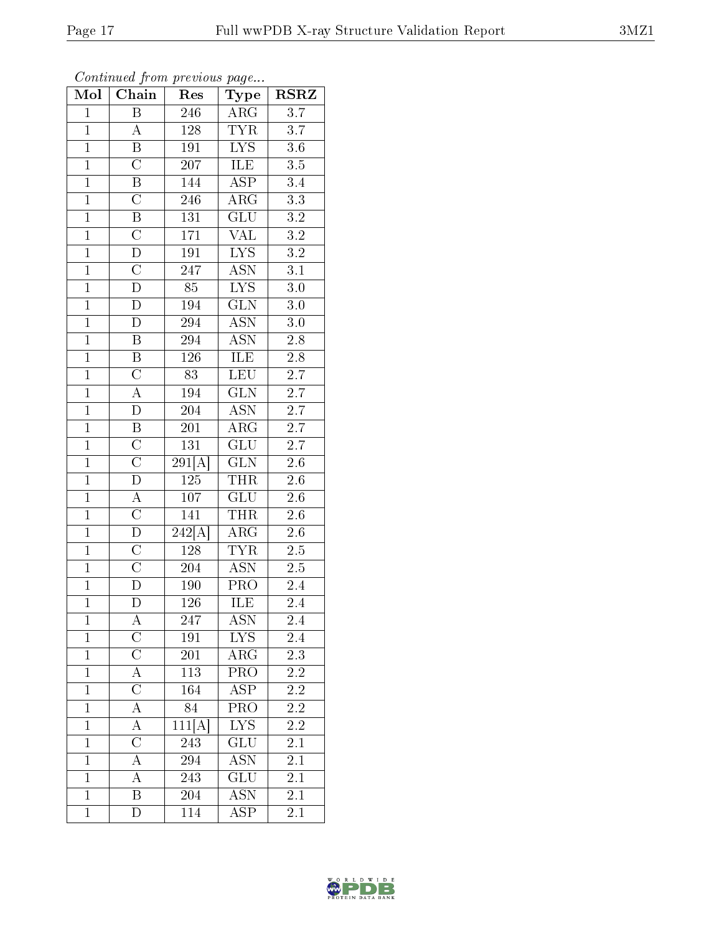|--|

| Mol            | Continued from previous page<br>Chain | Res                        | Type                      | <b>RSRZ</b>      |  |
|----------------|---------------------------------------|----------------------------|---------------------------|------------------|--|
| $\mathbf{1}$   | $\boldsymbol{B}$                      | 246                        | $\rm{ARG}$                | 3.7              |  |
| $\overline{1}$ | $\boldsymbol{A}$                      | 128                        | <b>TYR</b>                | 3.7              |  |
| $\overline{1}$ | $\overline{\mathrm{B}}$               | 191                        | $\overline{\text{LYS}}$   | $\overline{3.6}$ |  |
| $\mathbf{1}$   | $\overline{C}$                        | 207                        | ILE                       | $3.5\,$          |  |
| $\overline{1}$ | $\overline{\mathrm{B}}$               | 144                        | $\overline{\text{ASP}}$   | $\overline{3}.4$ |  |
| $\overline{1}$ | $\overline{C}$                        | 246                        | $AR\overline{G}$          | $\overline{3.3}$ |  |
| $\overline{1}$ | $\overline{\mathrm{B}}$               | 131                        | $\overline{\text{GLU}}$   | $\overline{3.2}$ |  |
| $\overline{1}$ | $\overline{C}$                        | 171                        | $\overline{\text{VAL}}$   | $\overline{3.2}$ |  |
| $\mathbf{1}$   | $\overline{D}$                        | 191                        | ${\rm LYS}$               | $3.\overline{2}$ |  |
| $\overline{1}$ | $\overline{\rm C}$                    | 247                        | $\overline{\mathrm{ASN}}$ | $\overline{3.1}$ |  |
| $\overline{1}$ | $\overline{\rm D}$                    | $\overline{85}$            | <b>LYS</b>                | $3.0\,$          |  |
| $\overline{1}$ | $\overline{\rm D}$                    | 194                        | $\overline{\text{GLN}}$   | $\overline{3.0}$ |  |
| $\overline{1}$ | $\overline{D}$                        | 294                        | <b>ASN</b>                | $3.0\,$          |  |
| $\overline{1}$ | $\boldsymbol{B}$                      | 294                        | <b>ASN</b>                | $2.8\,$          |  |
| $\overline{1}$ | B                                     | 126                        | <b>ILE</b>                | $\overline{2.8}$ |  |
| $\overline{1}$ | $\overline{\rm C}$                    | $\overline{83}$            | <b>LEU</b>                | $\overline{2.7}$ |  |
| $\overline{1}$ | $\overline{A}$                        | 194                        | $\overline{\text{GLN}}$   | $\overline{2.7}$ |  |
| $\overline{1}$ | $\overline{D}$                        | 204                        | <b>ASN</b>                | 2.7              |  |
| $\overline{1}$ | $\overline{\mathrm{B}}$               | 201                        | ARG                       | $2.\overline{7}$ |  |
| $\overline{1}$ | $\overline{\rm C}$                    | 131                        | GLU                       | $\overline{2.7}$ |  |
| $\overline{1}$ | $\overline{C}$                        | $29\overline{1[A]}$        | GLN                       | $2.6\,$          |  |
| $\overline{1}$ | $\overline{\rm D}$                    | <b>125</b>                 | <b>THR</b>                | $2.6\,$          |  |
| $\mathbf{1}$   | $\overline{A}$                        | 107                        | GLU                       | $2.6\,$          |  |
| $\overline{1}$ | $\overline{\rm C}$                    | 141                        | <b>THR</b>                | $2.6\,$          |  |
| $\overline{1}$ | $\overline{D}$                        | $\overline{242[A]}$        | ARG                       | 2.6              |  |
| $\mathbf{1}$   | $\overline{\mathrm{C}}$               | 128                        | <b>TYR</b>                | $2.5\,$          |  |
| $\overline{1}$ | $\overline{C}$                        | 204                        | <b>ASN</b>                | $\overline{2.5}$ |  |
| $\mathbf{1}$   | $\overline{D}$                        | 190                        | PRO                       | 2.4              |  |
| $\overline{1}$ | $\overline{\rm D}$                    | $\overline{126}$           | ILE                       | $\overline{2.4}$ |  |
| 1              | A                                     | 247                        | ASN                       | 2.4              |  |
| $\overline{1}$ | $\overline{\text{C}}$                 | 191                        | <b>LYS</b>                | 2.4              |  |
| $\mathbf{1}$   | $\overline{C}$                        | 201                        | $\widehat{\text{ARG}}$    | 2.3              |  |
| $\mathbf{1}$   | $\overline{A}$                        | 113                        | $\overline{\text{PRO}}$   | 2.2              |  |
| $\mathbf 1$    | $\overline{\rm C}$                    | 164                        | $\overline{\text{ASP}}$   | 2.2              |  |
| $\mathbf{1}$   | A                                     | 84                         | PRO                       | 2.2              |  |
| $\mathbf{1}$   | $\overline{\rm A}$                    | $\overline{111}[\text{A}]$ | $\overline{\text{LYS}}$   | $\overline{2.2}$ |  |
| $\mathbf{1}$   | $\overline{\rm C}$                    | 243                        | GLU                       | 2.1              |  |
| $\mathbf 1$    | $\overline{\rm A}$                    | 294                        | <b>ASN</b>                | 2.1              |  |
| $\mathbf 1$    | $\overline{A}$                        | 243                        | GLU                       | 2.1              |  |
| $\overline{1}$ | $\overline{\mathrm{B}}$               | 204                        | $AS\overline{N}$          | 2.1              |  |
| $\mathbf{1}$   | $\overline{\rm D}$                    | 114                        | $\overline{\text{ASP}}$   | 2.1              |  |

Continued from previous page.